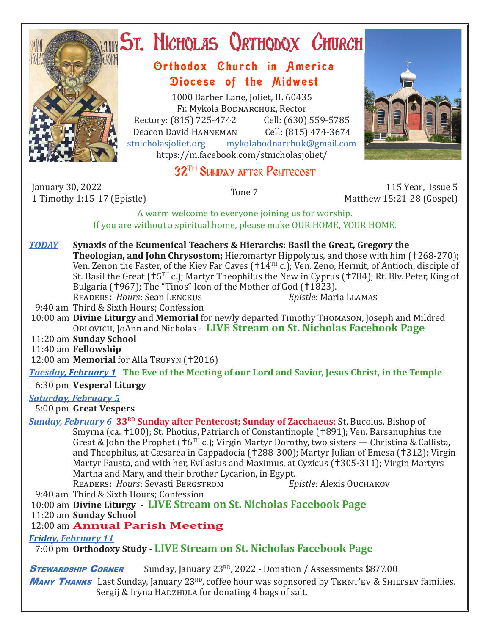

# ST. NICHOLAS QRTHODOX CHURCH

## Orthodox Church in America Diocese of the Midwest

1000 Barber Lane, Joliet, IL 60435 Fr. Mykola Bodnarchuk, Rector Rectory: (815) 725-4742 Cell: (630) 559-5785<br>Deacon David HANNEMAN Cell: (815) 474-3674 Deacon David HANNEMAN<br>stnicholasioliet.org mykola mykolabodnarchuk@gmail.com https://m.facebook.com/stnicholasjoliet/

# 32TH Sunday after Pentecost

January 30, 2022

1 Timothy 1:15-17 (Epistle) Tone 7 115 Year, Issue 5 Matthew 15:21-28 (Gospel)

> A warm welcome to everyone joining us for worship. If you are without a spiritual home, please make OUR HOME, YOUR HOME.

- *TODAY* **Synaxis of the Ecumenical Teachers & Hierarchs: Basil the Great, Gregory the Theologian, and John Chrysostom;** Hieromartyr Hippolytus, and those with him (†268-270); Ven. Zenon the Faster, of the Kiev Far Caves (†14TH c.); Ven. Zeno, Hermit, of Antioch, disciple of St. Basil the Great ( $\uparrow$ 5<sup>TH</sup> c.); Martyr Theophilus the New in Cyprus ( $\uparrow$ 784); Rt. Blv. Peter, King of Bulgaria (†967); The "Tinos" Icon of the Mother of God (†1823).<br>READERS: Hours: Sean LENCKUS Epistle: Maria LLAMAS READERS: Hours: Sean LENCKUS
- 9:40 am Third & Sixth Hours; Confession

 10:00 am **Divine Liturgy** and **Memorial** for newly departed Timothy Thomason, Joseph and Mildred Orlovich, JoAnn and Nicholas **- LIVE Stream on St. Nicholas Facebook Page**

11:20 am **Sunday School**

11:40 am **Fellowship**

12:00 am **Memorial** for Alla Trufyn (+2016)

*Tuesday, February 1* **The Eve of the Meeting of our Lord and Savior, Jesus Christ, in the Temple**

#### 6:30 pm **Vesperal Liturgy**

#### *Saturday, February 5*

5:00 pm **Great Vespers**

*Sunday, February 6* **33<sup>RD</sup> Sunday after Pentecost; Sunday of Zacchaeus**; St. Bucolus, Bishop of Smyrna (ca. †100); St. Photius, Patriarch of Constantinople (†891); Ven. Barsanuphius the Great & John the Prophet ( $\uparrow$ 6<sup>TH</sup> c.); Virgin Martyr Dorothy, two sisters — Christina & Callista, and Theophilus, at Cæsarea in Cappadocia († 288-300); Martyr Julian of Emesa († 312); Virgin Martyr Fausta, and with her, Evilasius and Maximus, at Cyzicus (†305-311); Virgin Martyrs Martha and Mary, and their brother Lycarion, in Egypt.<br>READERS: Hours: Sevasti BERGSTROM Epistle: Alexis OUCHAKOV

READERS: *Hours*: Sevasti BERGSTROM

9:40 am Third & Sixth Hours; Confession

#### 10:00 am **Divine Liturgy - LIVE Stream on St. Nicholas Facebook Page**

11:20 am **Sunday School**

## 12:00 am **Annual Parish Meeting**

*Friday, February 11* 

7:00 pm **Orthodoxy Study - LIVE Stream on St. Nicholas Facebook Page**

**STEWARDSHIP CORNER** Sunday, January 23<sup>RD</sup>, 2022 - Donation / Assessments \$877.00 **MANY THANKS** Last Sunday, January 23<sup>RD</sup>, coffee hour was sopnsored by TERNT'EV & SHILTSEV families. Sergij & Iryna HADZHULA for donating 4 bags of salt.